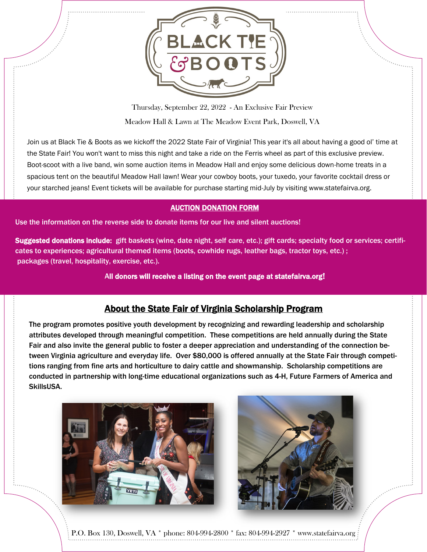

Thursday, September 22, 2022 - An Exclusive Fair Preview Meadow Hall & Lawn at The Meadow Event Park, Doswell, VA

Join us at Black Tie & Boots as we kickoff the 2022 State Fair of Virginia! This year it's all about having a good ol' time at the State Fair! You won't want to miss this night and take a ride on the Ferris wheel as part of this exclusive preview. Boot-scoot with a live band, win some auction items in Meadow Hall and enjoy some delicious down-home treats in a spacious tent on the beautiful Meadow Hall lawn! Wear your cowboy boots, your tuxedo, your favorite cocktail dress or your starched jeans! Event tickets will be available for purchase starting mid-July by visiting www.statefairva.org.

## AUCTION DONATION FORM

Use the information on the reverse side to donate items for our live and silent auctions!

Suggested donations include: gift baskets (wine, date night, self care, etc.); gift cards; specialty food or services; certificates to experiences; agricultural themed items (boots, cowhide rugs, leather bags, tractor toys, etc.) ; packages (travel, hospitality, exercise, etc.).

All donors will receive a listing on the event page at statefairva.org!

## About the State Fair of Virginia Scholarship Program

The program promotes positive youth development by recognizing and rewarding leadership and scholarship attributes developed through meaningful competition. These competitions are held annually during the State Fair and also invite the general public to foster a deeper appreciation and understanding of the connection between Virginia agriculture and everyday life. Over \$80,000 is offered annually at the State Fair through competitions ranging from fine arts and horticulture to dairy cattle and showmanship. Scholarship competitions are conducted in partnership with long-time educational organizations such as 4-H, Future Farmers of America and SkillsUSA.





P.O. Box 130, Doswell, VA \* phone: 804-994-2800 \* fax: 804-994-2927 \* www.statefairva.org